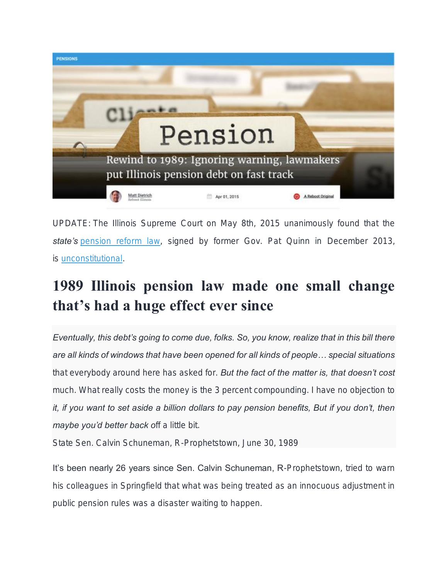

*UPDATE: The Illinois Supreme Court on May 8th, 2015 unanimously found that the state's [pension reform law,](http://www.rebootillinois.com/illinois-pension-reform/) signed by former Gov. Pat Quinn in December 2013, is [unconstitutional.](http://www.rebootillinois.com/2015/05/08/editors-picks/mattdietrich/here-is-the-illinois-supreme-court-pension-reform-decision/37609/)*

## 1989 Illinois pension law made one small change that's had a huge effect ever since

*Eventually, this debt's going to come due, folks. So, you know, realize that in this bill there are all kinds of windows that have been opened for all kinds of people… special situations that everybody around here has asked for. But the fact of the matter is, that doesn't cost much. What really costs the money is the 3 percent compounding. I have no objection to it, if you want to set aside a billion dollars to pay pension benefits, But if you don't, then maybe you'd better back off a little bit.*

*State Sen. Calvin Schuneman, R-Prophetstown, June 30, 1989*

It's been nearly 26 years since Sen. Calvin Schuneman, R-Prophetstown, tried to warn his colleagues in Springfield that what was being treated as an innocuous adjustment in public pension rules was a disaster waiting to happen.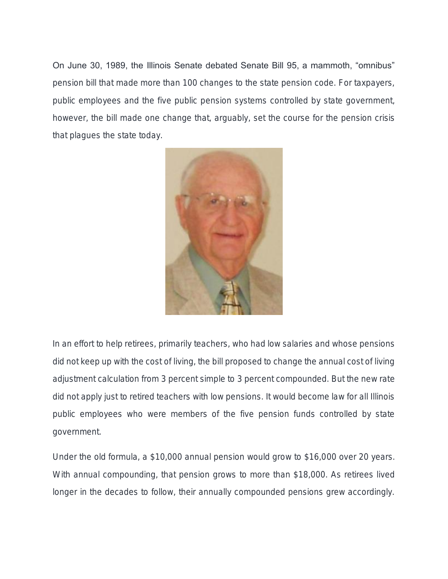On June 30, 1989, the Illinois Senate debated Senate Bill 95, a mammoth, "omnibus" pension bill that made more than 100 changes to the state pension code. For taxpayers, public employees and the five public pension systems controlled by state government, however, the bill made one change that, arguably, set the course for the pension crisis that plagues the state today.



In an effort to help retirees, primarily teachers, who had low salaries and whose pensions did not keep up with the cost of living, the bill proposed to change the annual cost of living adjustment calculation from 3 percent simple to 3 percent compounded. But the new rate did not apply just to retired teachers with low pensions. It would become law for all Illinois public employees who were members of the five pension funds controlled by state government.

Under the old formula, a \$10,000 annual pension would grow to \$16,000 over 20 years. With annual compounding, that pension grows to more than \$18,000. As retirees lived longer in the decades to follow, their annually compounded pensions grew accordingly.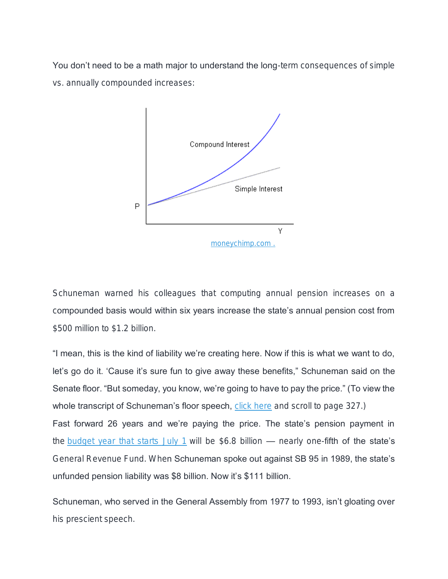You don't need to be a math major to understand the long-term consequences of simple vs. annually compounded increases:



Schuneman warned his colleagues that computing annual pension increases on a compounded basis would within six years increase the state's annual pension cost from \$500 million to \$1.2 billion.

"I mean, this is the kind of liability we're creating here. Now if this is what we want to do, let's go do it. 'Cause it's sure fun to give away these benefits," Schuneman said on the Senate floor. "But someday, you know, we're going to have to pay the price." (To view the whole transcript of Schuneman's floor speech, [click here](http://www.ilga.gov/senate/transcripts/strans86/ST063089.pdf) and scroll to page 327.) Fast forward 26 years and we're paying the price. The state's pension payment in the [budget year that starts July 1](http://www2.illinois.gov/gov/budget/Documents/Budget%20Book/Budget%20Book%20FY16/FY2016IllinoisOperatingBudgetBook.pdf) will be \$6.8 billion  $-$  nearly one-fifth of the state's General Revenue Fund. When Schuneman spoke out against SB 95 in 1989, the state's unfunded pension liability was \$8 billion. Now it's \$111 billion.

Schuneman, who served in the General Assembly from 1977 to 1993, isn't gloating over his prescient speech.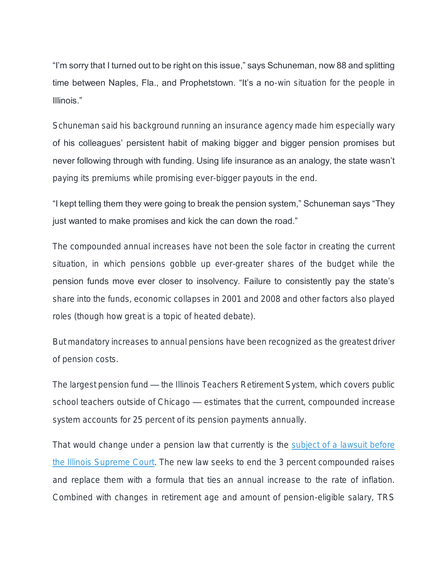"I'm sorry that I turned out to be right on this issue," says Schuneman, now 88 and splitting time between Naples, Fla., and Prophetstown. "It's a no-win situation for the people in Illinois."

Schuneman said his background running an insurance agency made him especially wary of his colleagues' persistent habit of making bigger and bigger pension promises but never following through with funding. Using life insurance as an analogy, the state wasn't paying its premiums while promising ever-bigger payouts in the end.

"I kept telling them they were going to break the pension system," Schuneman says "They just wanted to make promises and kick the can down the road."

The compounded annual increases have not been the sole factor in creating the current situation, in which pensions gobble up ever-greater shares of the budget while the pension funds move ever closer to insolvency. Failure to consistently pay the state's share into the funds, economic collapses in 2001 and 2008 and other factors also played roles (though how great is a topic of heated debate).

But mandatory increases to annual pensions have been recognized as the greatest driver of pension costs.

The largest pension fund — the Illinois Teachers Retirement System, which covers public school teachers outside of Chicago — estimates that the current, compounded increase system accounts for 25 percent of its pension payments annually.

That would change under a pension law that currently is the subject of a lawsuit before [the Illinois Supreme Court.](http://www.rebootillinois.com/2015/03/13/editors-picks/mattdietrich/illinois-pension-crisis-self-inflicted-wound-legitimate-emergency-self-inflicted-legitimate-emergency/34777/) The new law seeks to end the 3 percent compounded raises and replace them with a formula that ties an annual increase to the rate of inflation. Combined with changes in retirement age and amount of pension-eligible salary, TRS